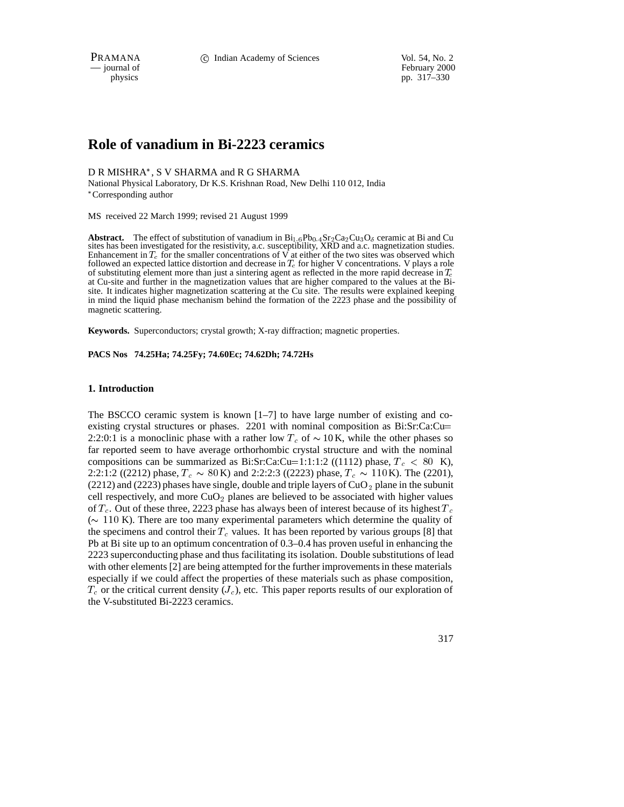PRAMANA 
<sup>C</sup> Indian Academy of Sciences Vol. 54, No. 2<br>
— journal of February 2000

February 2000 physics pp. 317–330

# **Role of vanadium in Bi-2223 ceramics**

D R MISHRA , S V SHARMA and R G SHARMA

National Physical Laboratory, Dr K.S. Krishnan Road, New Delhi 110 012, India Corresponding author

MS received 22 March 1999; revised 21 August 1999

**Abstract.** The effect of substitution of vanadium in  $Bi_{1.6}Pb_{0.4}Sr_2Ca_2Cu_3O_6$  ceramic at Bi and Cu sites has been investigated for the resistivity, a.c. susceptibility, XRD and a.c. magnetization studies. Enhancement in  $T_c$  for the smaller concentrations of V at either of the two sites was observed which followed an expected lattice distortion and decrease in  $T_c$  for higher V concentrations. V plays a role of substituting element more than just a sintering agent as reflected in the more rapid decrease in  $T_c$ at Cu-site and further in the magnetization values that are higher compared to the values at the Bisite. It indicates higher magnetization scattering at the Cu site. The results were explained keeping in mind the liquid phase mechanism behind the formation of the 2223 phase and the possibility of magnetic scattering.

**Keywords.** Superconductors; crystal growth; X-ray diffraction; magnetic properties.

**PACS Nos 74.25Ha; 74.25Fy; 74.60Ec; 74.62Dh; 74.72Hs**

## **1. Introduction**

The BSCCO ceramic system is known  $[1-7]$  to have large number of existing and coexisting crystal structures or phases. 2201 with nominal composition as Bi:Sr:Ca:Cu<sup>=</sup> 2:2:0:1 is a monoclinic phase with a rather low  $T_c$  of  $\sim 10$  K, while the other phases so far reported seem to have average orthorhombic crystal structure and with the nominal compositions can be summarized as Bi:Sr:Ca:Cu=1:1:1:2 ((1112) phase,  $T_c$  < 80 K), 2:2:1:2 ((2212) phase,  $T_c \sim 80 \text{ K}$ ) and 2:2:2:3 ((2223) phase,  $T_c \sim 110 \text{ K}$ ). The (2201), (2212) and (2223) phases have single, double and triple layers of  $CuO<sub>2</sub>$  plane in the subunit cell respectively, and more  $CuO<sub>2</sub>$  planes are believed to be associated with higher values of  $T_c$ . Out of these three, 2223 phase has always been of interest because of its highest  $T_c$ ( $\sim$  110 K). There are too many experimental parameters which determine the quality of the specimens and control their  $T_c$  values. It has been reported by various groups [8] that Pb at Bi site up to an optimum concentration of 0.3–0.4 has proven useful in enhancing the 2223 superconducting phase and thus facilitating its isolation. Double substitutions of lead with other elements [2] are being attempted for the further improvements in these materials especially if we could affect the properties of these materials such as phase composition,  $T_c$  or the critical current density  $(J_c)$ , etc. This paper reports results of our exploration of the V-substituted Bi-2223 ceramics.

317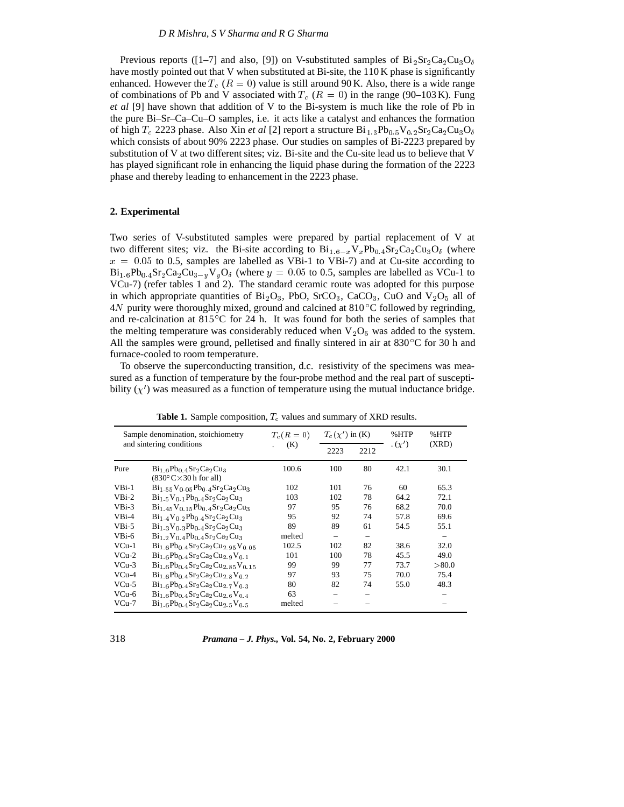Previous reports ([1–7] and also, [9]) on V-substituted samples of  $Bi_2Sr_2Ca_2Cu_3O_6$ have mostly pointed out that V when substituted at Bi-site, the 110 K phase is significantly enhanced. However the  $T_c$  ( $R = 0$ ) value is still around 90 K. Also, there is a wide range of combinations of Pb and V associated with  $T_c$  ( $R = 0$ ) in the range (90–103 K). Fung *et al* [9] have shown that addition of V to the Bi-system is much like the role of Pb in the pure Bi–Sr–Ca–Cu–O samples, i.e. it acts like a catalyst and enhances the formation of high  $T_c$  2223 phase. Also Xin *et al* [2] report a structure  $Bi_{1,3}Pb_{0.5}V_{0.2}Sr_2Ca_2Cu_3O_6$ which consists of about 90% 2223 phase. Our studies on samples of Bi-2223 prepared by substitution of V at two different sites; viz. Bi-site and the Cu-site lead us to believe that V has played significant role in enhancing the liquid phase during the formation of the 2223 phase and thereby leading to enhancement in the 2223 phase.

# **2. Experimental**

Two series of V-substituted samples were prepared by partial replacement of V at two different sites; viz. the Bi-site according to  $Bi_{1.6-x}V_xPb_{0.4}Sr_2Ca_2Cu_3O_6$  (where  $x = 0.05$  to 0.5, samples are labelled as VBi-1 to VBi-7) and at Cu-site according to  $Bi_{1.6}Pb_{0.4}Sr_2Ca_2Cu_{3-y}V_yO_\delta$  (where  $y = 0.05$  to 0.5, samples are labelled as VCu-1 to VCu-7) (refer tables 1 and 2). The standard ceramic route was adopted for this purpose in which appropriate quantities of  $Bi_2O_3$ , PbO, SrCO<sub>3</sub>, CaCO<sub>3</sub>, CuO and V<sub>2</sub>O<sub>5</sub> all of  $4N$  purity were thoroughly mixed, ground and calcined at  $810^{\circ}$ C followed by regrinding, and re-calcination at 815 C for 24 h. It was found for both the series of samples that the melting temperature was considerably reduced when  $V_2O_5$  was added to the system. All the samples were ground, pelletised and finally sintered in air at  $830^{\circ}$ C for 30 h and furnace-cooled to room temperature.

To observe the superconducting transition, d.c. resistivity of the specimens was measured as a function of temperature by the four-probe method and the real part of susceptibility  $(\chi')$  was measured as a function of temperature using the mutual inductance bridge.

|         | Sample denomination, stoichiometry                                                         | $T_c(R=0)$ | $T_c(\chi')$ in (K)      |                          | %HTP              | %HTP   |
|---------|--------------------------------------------------------------------------------------------|------------|--------------------------|--------------------------|-------------------|--------|
|         | and sintering conditions                                                                   | (K)        | 2223                     | 2212                     | $\cdot$ $(\chi')$ | (XRD)  |
| Pure    | $Bi1-6Pb0-4Sr2Ca2Cu3$<br>$(830^{\circ}$ C $\times$ 30 h for all)                           | 100.6      | 100                      | 80                       | 42.1              | 30.1   |
| $VBi-1$ | $Bi1$ 55 $V0$ 05 $Pb0$ 4 $Sr2 Ca2 Cu3$                                                     | 102        | 101                      | 76                       | 60                | 65.3   |
| $VBi-2$ | $Bi1.5V0.1Pb0.4Sr2Ca2Cu3$                                                                  | 103        | 102                      | 78                       | 64.2              | 72.1   |
| $VBi-3$ | $Bi1.45\,V0.15Pb0.4Sr2Ca2Cu3$                                                              | 97         | 95                       | 76                       | 68.2              | 70.0   |
| $VBi-4$ | $Bi1$ 4 V <sub>0</sub> 2 Pb <sub>0</sub> 4 Sr <sub>2</sub> Ca <sub>2</sub> Cu <sub>3</sub> | 95         | 92                       | 74                       | 57.8              | 69.6   |
| $VBi-5$ | $\text{Bi}_{1,3}\text{V}_0$ a $\text{Pb}_0$ a $\text{Sr}_2\text{Ca}_2\text{Cu}_3$          | 89         | 89                       | 61                       | 54.5              | 55.1   |
| $VBi-6$ | $Bi_1$ 2V <sub>0</sub> 4Pb <sub>0</sub> 4Sr <sub>2</sub> Ca <sub>2</sub> Cu <sub>3</sub>   | melted     | $\overline{\phantom{0}}$ | $\overline{\phantom{0}}$ |                   |        |
| $VCu-1$ | $Bi_{1.6}Pb_{0.4}Sr_2Ca_2Cu_{2.95}V_{0.05}$                                                | 102.5      | 102                      | 82                       | 38.6              | 32.0   |
| $VCu-2$ | $Bi1$ $6Pb0$ $4Sr2Ca2Cu2$ $9V0$ 1                                                          | 101        | 100                      | 78                       | 45.5              | 49.0   |
| $VCu-3$ | $Bi1.6Pb0.4Sr2Ca2Cu2.85V0.15$                                                              | 99         | 99                       | 77                       | 73.7              | > 80.0 |
| $VCu-4$ | $Bi_{1.6}Pb_{0.4}Sr_2Ca_2Cu_{2.8}V_{0.2}$                                                  | 97         | 93                       | 75                       | 70.0              | 75.4   |
| $VCu-5$ | $Bi_{1.6}Pb_{0.4}Sr_2Ca_2Cu_{2.7}V_{0.3}$                                                  | 80         | 82                       | 74                       | 55.0              | 48.3   |
| $VCu-6$ | $Bi1.6Pb0.4Sr2Ca2Cu2.6V0.4$                                                                | 63         |                          |                          |                   |        |
| $VCu-7$ | $Bi1-6Pb0-4Sr2Ca2Cu2-5V0-5$                                                                | melted     |                          |                          |                   |        |

**Table 1.** Sample composition,  $T_c$  values and summary of XRD results.

| 318 |  | <i>Pramana – J. Phys.</i> , Vol. 54, No. 2, February 2000 |
|-----|--|-----------------------------------------------------------|
|-----|--|-----------------------------------------------------------|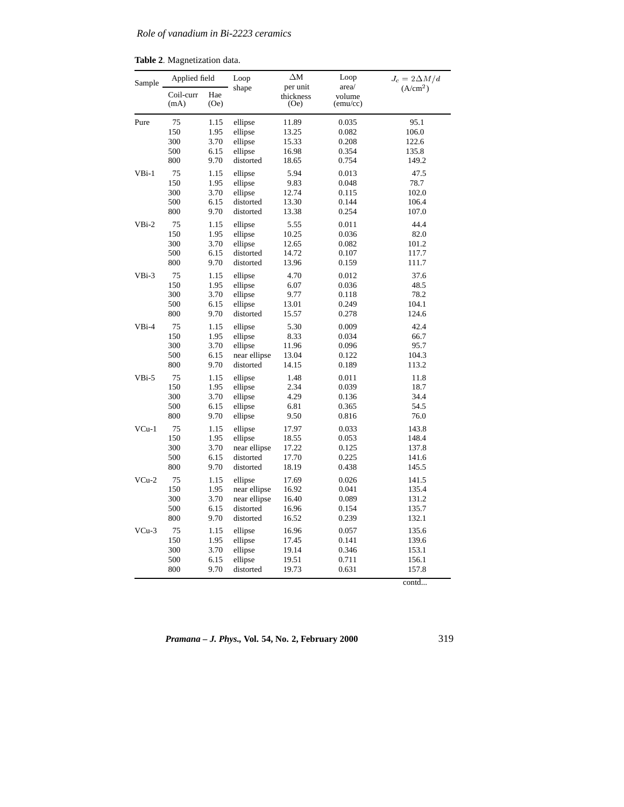|  |  | Table 2. Magnetization data. |  |
|--|--|------------------------------|--|
|--|--|------------------------------|--|

| Sample  | Applied field     |             | Loop         | ΔМ<br>per unit    | Loop<br>area/      | $J_c = 2\Delta M/d$  |  |
|---------|-------------------|-------------|--------------|-------------------|--------------------|----------------------|--|
|         | Coil-curr<br>(mA) | Hae<br>(Oe) | shape        | thickness<br>(Oe) | volume<br>(emu/cc) | (A/cm <sup>2</sup> ) |  |
| Pure    | 75                | 1.15        | ellipse      | 11.89             | 0.035              | 95.1                 |  |
|         | 150               | 1.95        | ellipse      | 13.25             | 0.082              | 106.0                |  |
|         | 300               | 3.70        | ellipse      | 15.33             | 0.208              | 122.6                |  |
|         | 500               | 6.15        | ellipse      | 16.98             | 0.354              | 135.8                |  |
|         | 800               | 9.70        | distorted    | 18.65             | 0.754              | 149.2                |  |
| $VBi-1$ | 75                | 1.15        | ellipse      | 5.94              | 0.013              | 47.5                 |  |
|         | 150               | 1.95        | ellipse      | 9.83              | 0.048              | 78.7                 |  |
|         | 300               | 3.70        | ellipse      | 12.74             | 0.115              | 102.0                |  |
|         | 500               | 6.15        | distorted    | 13.30             | 0.144              | 106.4                |  |
|         | 800               | 9.70        | distorted    | 13.38             | 0.254              | 107.0                |  |
| $VBi-2$ | 75                | 1.15        | ellipse      | 5.55              | 0.011              | 44.4                 |  |
|         | 150               | 1.95        | ellipse      | 10.25             | 0.036              | 82.0                 |  |
|         | 300               | 3.70        | ellipse      | 12.65             | 0.082              | 101.2                |  |
|         | 500               | 6.15        | distorted    | 14.72             | 0.107              | 117.7                |  |
|         | 800               | 9.70        | distorted    | 13.96             | 0.159              | 111.7                |  |
| $VBi-3$ | 75                | 1.15        | ellipse      | 4.70              | 0.012              | 37.6                 |  |
|         | 150               | 1.95        | ellipse      | 6.07              | 0.036              | 48.5                 |  |
|         | 300               | 3.70        | ellipse      | 9.77              | 0.118              | 78.2                 |  |
|         | 500               | 6.15        | ellipse      | 13.01             | 0.249              | 104.1                |  |
|         | 800               | 9.70        | distorted    | 15.57             | 0.278              | 124.6                |  |
| $VBi-4$ | 75                | 1.15        | ellipse      | 5.30              | 0.009              | 42.4                 |  |
|         | 150               | 1.95        | ellipse      | 8.33              | 0.034              | 66.7                 |  |
|         | 300               | 3.70        | ellipse      | 11.96             | 0.096              | 95.7                 |  |
|         | 500               | 6.15        | near ellipse | 13.04             | 0.122              | 104.3                |  |
|         | 800               | 9.70        | distorted    | 14.15             | 0.189              | 113.2                |  |
| $VBi-5$ | 75                | 1.15        | ellipse      | 1.48              | 0.011              | 11.8                 |  |
|         | 150               | 1.95        | ellipse      | 2.34              | 0.039              | 18.7                 |  |
|         | 300               | 3.70        | ellipse      | 4.29              | 0.136              | 34.4                 |  |
|         | 500               | 6.15        | ellipse      | 6.81              | 0.365              | 54.5                 |  |
|         | 800               | 9.70        | ellipse      | 9.50              | 0.816              | 76.0                 |  |
| VCu-1   | 75                | 1.15        | ellipse      | 17.97             | 0.033              | 143.8                |  |
|         | 150               | 1.95        | ellipse      | 18.55             | 0.053              | 148.4                |  |
|         | 300               | 3.70        | near ellipse | 17.22             | 0.125              | 137.8                |  |
|         | 500               | 6.15        | distorted    | 17.70             | 0.225              | 141.6                |  |
|         | 800               | 9.70        | distorted    | 18.19             | 0.438              | 145.5                |  |
| $VCu-2$ | 75                | 1.15        | ellipse      | 17.69             | 0.026              | 141.5                |  |
|         | 150               | 1.95        | near ellipse | 16.92             | 0.041              | 135.4                |  |
|         | 300               | 3.70        | near ellipse | 16.40             | 0.089              | 131.2                |  |
|         | 500               | 6.15        | distorted    | 16.96             | 0.154              | 135.7                |  |
|         | 800               | 9.70        | distorted    | 16.52             | 0.239              | 132.1                |  |
| $VCu-3$ | 75                | 1.15        | ellipse      | 16.96             | 0.057              | 135.6                |  |
|         | 150               | 1.95        | ellipse      | 17.45             | 0.141              | 139.6                |  |
|         | 300               | 3.70        | ellipse      | 19.14             | 0.346              | 153.1                |  |
|         | 500               | 6.15        | ellipse      | 19.51             | 0.711              | 156.1                |  |
|         | 800               | 9.70        | distorted    | 19.73             | 0.631              | 157.8                |  |

contd...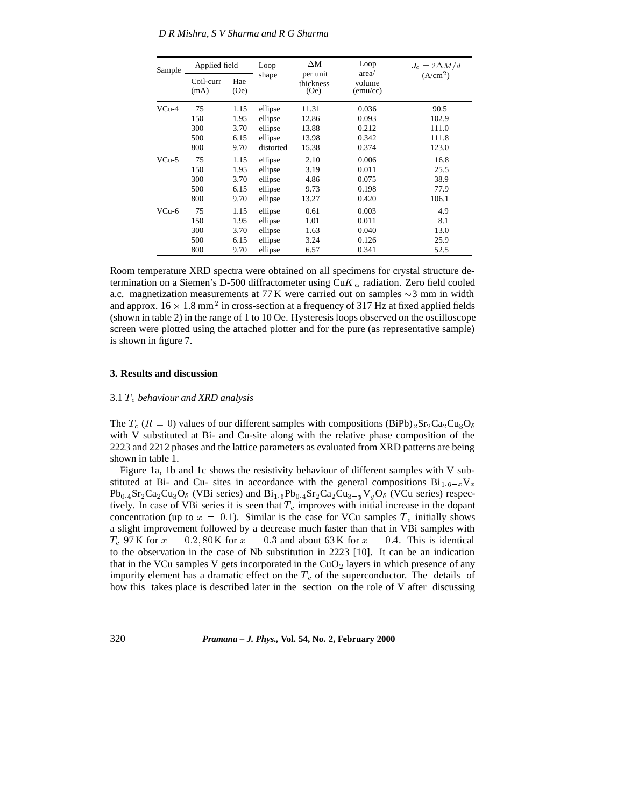| Sample  | Applied field     |             | Loop      | ΔМ<br>per unit    | Loop<br>area/      | $J_c = 2\Delta M/d$  |
|---------|-------------------|-------------|-----------|-------------------|--------------------|----------------------|
|         | Coil-curr<br>(mA) | Hae<br>(Oe) | shape     | thickness<br>(Oe) | volume<br>(emu/cc) | (A/cm <sup>2</sup> ) |
| $VCu-4$ | 75                | 1.15        | ellipse   | 11.31             | 0.036              | 90.5                 |
|         | 150               | 1.95        | ellipse   | 12.86             | 0.093              | 102.9                |
|         | 300               | 3.70        | ellipse   | 13.88             | 0.212              | 111.0                |
|         | 500               | 6.15        | ellipse   | 13.98             | 0.342              | 111.8                |
|         | 800               | 9.70        | distorted | 15.38             | 0.374              | 123.0                |
| $VCu-5$ | 75                | 1.15        | ellipse   | 2.10              | 0.006              | 16.8                 |
|         | 150               | 1.95        | ellipse   | 3.19              | 0.011              | 25.5                 |
|         | 300               | 3.70        | ellipse   | 4.86              | 0.075              | 38.9                 |
|         | 500               | 6.15        | ellipse   | 9.73              | 0.198              | 77.9                 |
|         | 800               | 9.70        | ellipse   | 13.27             | 0.420              | 106.1                |
| VCu-6   | 75                | 1.15        | ellipse   | 0.61              | 0.003              | 4.9                  |
|         | 150               | 1.95        | ellipse   | 1.01              | 0.011              | 8.1                  |
|         | 300               | 3.70        | ellipse   | 1.63              | 0.040              | 13.0                 |
|         | 500               | 6.15        | ellipse   | 3.24              | 0.126              | 25.9                 |
|         | 800               | 9.70        | ellipse   | 6.57              | 0.341              | 52.5                 |

Room temperature XRD spectra were obtained on all specimens for crystal structure determination on a Siemen's D-500 diffractometer using Cu $K_{\alpha}$  radiation. Zero field cooled a.c. magnetization measurements at 77 K were carried out on samples  $\sim$ 3 mm in width and approx.  $16 \times 1.8$  mm<sup>2</sup> in cross-section at a frequency of 317 Hz at fixed applied fields (shown in table 2) in the range of 1 to 10 Oe. Hysteresis loops observed on the oscilloscope screen were plotted using the attached plotter and for the pure (as representative sample) is shown in figure 7.

### **3. Results and discussion**

## 3.1 Tc *behaviour and XRD analysis*

The  $T_c$  ( $R = 0$ ) values of our different samples with compositions (BiPb)<sub>2</sub>Sr<sub>2</sub>Ca<sub>2</sub>Cu<sub>3</sub>O<sub>δ</sub> with V substituted at Bi- and Cu-site along with the relative phase composition of the 2223 and 2212 phases and the lattice parameters as evaluated from XRD patterns are being shown in table 1.

Figure 1a, 1b and 1c shows the resistivity behaviour of different samples with V substituted at Bi- and Cu- sites in accordance with the general compositions  $Bi_{1.6-x}V_x$  $Pb_{0.4}Sr_2Ca_2Cu_3O_6$  (VBi series) and  $Bi_{1.6}Pb_{0.4}Sr_2Ca_2Cu_{3-v}V_yO_6$  (VCu series) respectively. In case of VBi series it is seen that  $T_c$  improves with initial increase in the dopant concentration (up to  $x = 0.1$ ). Similar is the case for VCu samples  $T_c$  initially shows a slight improvement followed by a decrease much faster than that in VBi samples with  $T_c$  97 K for  $x = 0.2, 80$  K for  $x = 0.3$  and about 63 K for  $x = 0.4$ . This is identical to the observation in the case of Nb substitution in 2223 [10]. It can be an indication that in the VCu samples V gets incorporated in the  $CuO<sub>2</sub>$  layers in which presence of any impurity element has a dramatic effect on the  $T_c$  of the superconductor. The details of how this takes place is described later in the section on the role of V after discussing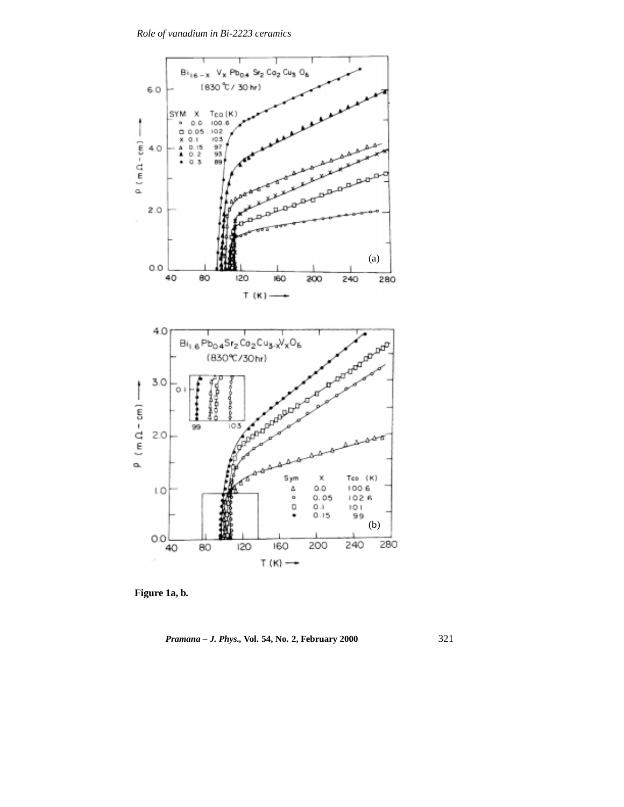

**Figure 1a, b.**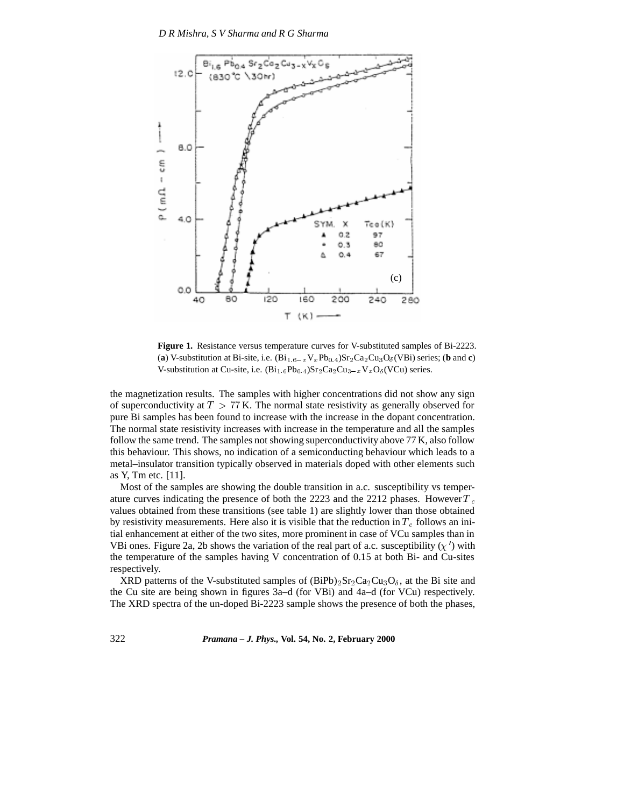

**Figure 1.** Resistance versus temperature curves for V-substituted samples of Bi-2223. (a) V-substitution at Bi-site, i.e.  $(Bi_{1.6-x}V_xPb_{0.4})Sr_2Ca_2Cu_3O_6(VBi)$  series; (**b** and **c**) V-substitution at Cu-site, i.e.  $(Bi_{1.6}Pb_{0.4})Sr_2Ca_2Cu_{3-x}V_xO_8(VCu)$  series.

the magnetization results. The samples with higher concentrations did not show any sign of superconductivity at  $T > 77$  K. The normal state resistivity as generally observed for pure Bi samples has been found to increase with the increase in the dopant concentration. The normal state resistivity increases with increase in the temperature and all the samples follow the same trend. The samples not showing superconductivity above 77 K, also follow this behaviour. This shows, no indication of a semiconducting behaviour which leads to a metal–insulator transition typically observed in materials doped with other elements such as Y, Tm etc. [11].

Most of the samples are showing the double transition in a.c. susceptibility vs temperature curves indicating the presence of both the 2223 and the 2212 phases. However  $T_c$ values obtained from these transitions (see table 1) are slightly lower than those obtained by resistivity measurements. Here also it is visible that the reduction in  $T_c$  follows an initial enhancement at either of the two sites, more prominent in case of VCu samples than in VBi ones. Figure 2a, 2b shows the variation of the real part of a.c. susceptibility  $(\chi')$  with the temperature of the samples having V concentration of 0.15 at both Bi- and Cu-sites respectively.

XRD patterns of the V-substituted samples of  $(BiPb)_{2}Sr_{2}Ca_{2}Cu_{3}O_{\delta}$ , at the Bi site and the Cu site are being shown in figures 3a–d (for VBi) and 4a–d (for VCu) respectively. The XRD spectra of the un-doped Bi-2223 sample shows the presence of both the phases,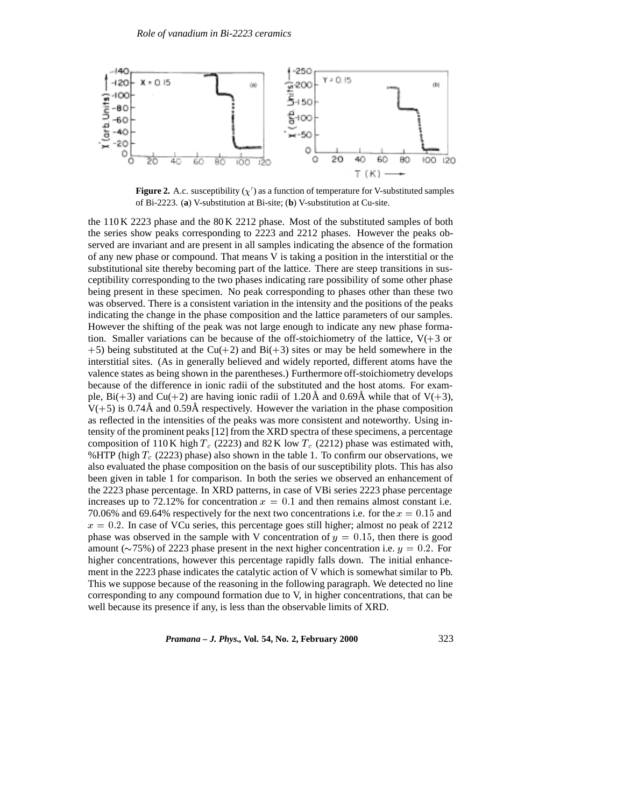

**Figure 2.** A.c. susceptibility  $(\chi')$  as a function of temperature for V-substituted samples of Bi-2223. (**a**) V-substitution at Bi-site; (**b**) V-substitution at Cu-site.

the 110 K 2223 phase and the 80 K 2212 phase. Most of the substituted samples of both the series show peaks corresponding to 2223 and 2212 phases. However the peaks observed are invariant and are present in all samples indicating the absence of the formation of any new phase or compound. That means V is taking a position in the interstitial or the substitutional site thereby becoming part of the lattice. There are steep transitions in susceptibility corresponding to the two phases indicating rare possibility of some other phase being present in these specimen. No peak corresponding to phases other than these two was observed. There is a consistent variation in the intensity and the positions of the peaks indicating the change in the phase composition and the lattice parameters of our samples. However the shifting of the peak was not large enough to indicate any new phase formation. Smaller variations can be because of the off-stoichiometry of the lattice,  $V(+3)$  or  $+5$ ) being substituted at the Cu( $+2$ ) and Bi( $+3$ ) sites or may be held somewhere in the interstitial sites. (As in generally believed and widely reported, different atoms have the valence states as being shown in the parentheses.) Furthermore off-stoichiometry develops because of the difference in ionic radii of the substituted and the host atoms. For example, Bi(+3) and Cu(+2) are having ionic radii of 1.20Å and 0.69Å while that of  $V(+)$ 3),  $V(+5)$  is 0.74Å and 0.59Å respectively. However the variation in the phase composition as reflected in the intensities of the peaks was more consistent and noteworthy. Using intensity of the prominent peaks [12] from the XRD spectra of these specimens, a percentage composition of 110 K high  $T_c$  (2223) and 82 K low  $T_c$  (2212) phase was estimated with, %HTP (high  $T_c$  (2223) phase) also shown in the table 1. To confirm our observations, we also evaluated the phase composition on the basis of our susceptibility plots. This has also been given in table 1 for comparison. In both the series we observed an enhancement of the 2223 phase percentage. In XRD patterns, in case of VBi series 2223 phase percentage increases up to 72.12% for concentration  $x = 0.1$  and then remains almost constant i.e. 70.06% and 69.64% respectively for the next two concentrations i.e. for the  $x = 0.15$  and  $x = 0.2$ . In case of VCu series, this percentage goes still higher; almost no peak of 2212 phase was observed in the sample with V concentration of  $y = 0.15$ , then there is good amount ( $\sim$ 75%) of 2223 phase present in the next higher concentration i.e.  $y = 0.2$ . For higher concentrations, however this percentage rapidly falls down. The initial enhancement in the 2223 phase indicates the catalytic action of V which is somewhat similar to Pb. This we suppose because of the reasoning in the following paragraph. We detected no line corresponding to any compound formation due to V, in higher concentrations, that can be well because its presence if any, is less than the observable limits of XRD.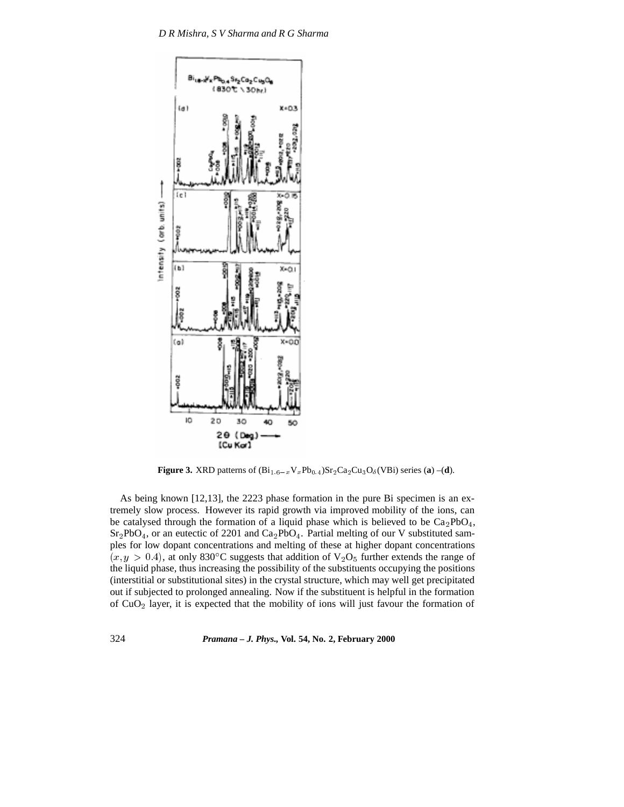

**Figure 3.** XRD patterns of  $(Bi_{1.6-x}V_xPb_{0.4})Sr_2Ca_2Cu_3O_6(VBi)$  series (**a**) –(**d**).

As being known [12,13], the 2223 phase formation in the pure Bi specimen is an extremely slow process. However its rapid growth via improved mobility of the ions, can be catalysed through the formation of a liquid phase which is believed to be  $Ca_2PbO_4$ ,  $Sr_2PbO_4$ , or an eutectic of 2201 and  $Ca_2PbO_4$ . Partial melting of our V substituted samples for low dopant concentrations and melting of these at higher dopant concentrations  $(x, y > 0.4)$ , at only 830°C suggests that addition of  $V_2O_5$  further extends the range of the liquid phase, thus increasing the possibility of the substituents occupying the positions (interstitial or substitutional sites) in the crystal structure, which may well get precipitated out if subjected to prolonged annealing. Now if the substituent is helpful in the formation of  $CuO<sub>2</sub>$  layer, it is expected that the mobility of ions will just favour the formation of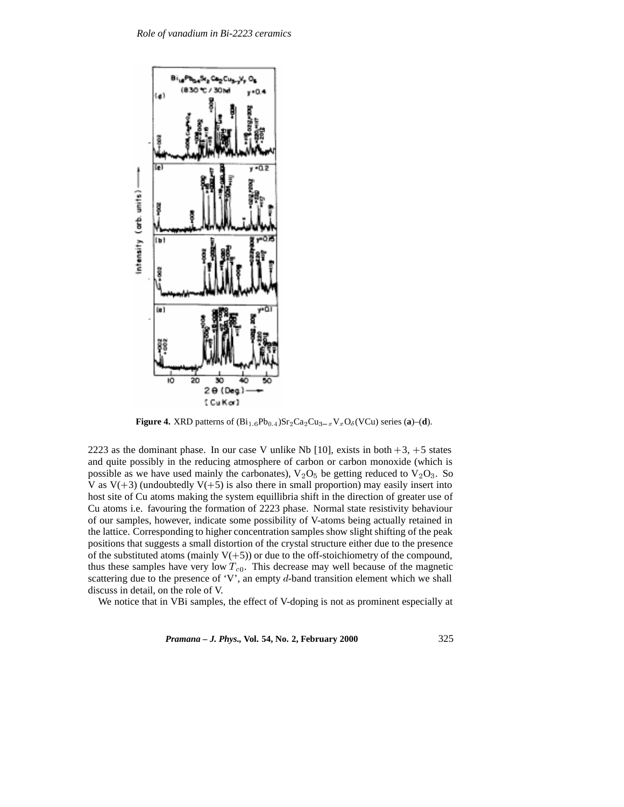

**Figure 4.** XRD patterns of  $(Bi_{1.6}Pb_{0.4})Sr_2Ca_2Cu_{3-x}V_xO_6(VCu)$  series (**a**)–(**d**).

2223 as the dominant phase. In our case V unlike Nb [10], exists in both  $+3$ ,  $+5$  states and quite possibly in the reducing atmosphere of carbon or carbon monoxide (which is possible as we have used mainly the carbonates),  $V_2O_5$  be getting reduced to  $V_2O_3$ . So V as  $V(+3)$  (undoubtedly  $V(+5)$  is also there in small proportion) may easily insert into host site of Cu atoms making the system equillibria shift in the direction of greater use of Cu atoms i.e. favouring the formation of 2223 phase. Normal state resistivity behaviour of our samples, however, indicate some possibility of V-atoms being actually retained in the lattice. Corresponding to higher concentration samples show slight shifting of the peak positions that suggests a small distortion of the crystal structure either due to the presence of the substituted atoms (mainly  $V(+5)$ ) or due to the off-stoichiometry of the compound, thus these samples have very low  $T_{c0}$ . This decrease may well because of the magnetic scattering due to the presence of 'V', an empty  $d$ -band transition element which we shall discuss in detail, on the role of V.

We notice that in VBi samples, the effect of V-doping is not as prominent especially at

*Pramana – J. Phys.,* **Vol. 54, No. 2, February 2000** 325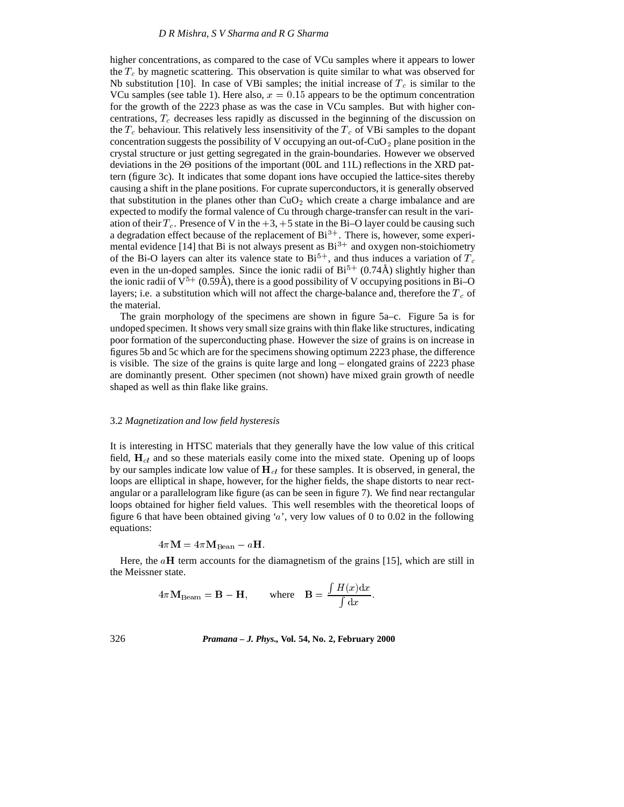higher concentrations, as compared to the case of VCu samples where it appears to lower the  $T_c$  by magnetic scattering. This observation is quite similar to what was observed for Nb substitution [10]. In case of VBi samples; the initial increase of  $T_c$  is similar to the VCu samples (see table 1). Here also,  $x = 0.15$  appears to be the optimum concentration for the growth of the 2223 phase as was the case in VCu samples. But with higher concentrations,  $T_c$  decreases less rapidly as discussed in the beginning of the discussion on the  $T_c$  behaviour. This relatively less insensitivity of the  $T_c$  of VBi samples to the dopant concentration suggests the possibility of V occupying an out-of-CuO<sub>2</sub> plane position in the crystal structure or just getting segregated in the grain-boundaries. However we observed deviations in the 20 positions of the important (00L and 11L) reflections in the XRD pattern (figure 3c). It indicates that some dopant ions have occupied the lattice-sites thereby causing a shift in the plane positions. For cuprate superconductors, it is generally observed that substitution in the planes other than  $CuO<sub>2</sub>$  which create a charge imbalance and are expected to modify the formal valence of Cu through charge-transfer can result in the variation of their  $T_c$ . Presence of V in the  $+3$ ,  $+5$  state in the Bi–O layer could be causing such a degradation effect because of the replacement of  $Bi^{3+}$ . There is, however, some experimental evidence [14] that Bi is not always present as  $Bi^{3+}$  and oxygen non-stoichiometry of the Bi-O layers can alter its valence state to  $Bi^{5+}$ , and thus induces a variation of  $T_c$ even in the un-doped samples. Since the ionic radii of  $Bi^{5+}$  (0.74Å) slightly higher than the ionic radii of  $V^{5+}$  (0.59Å), there is a good possibility of V occupying positions in Bi–O layers; i.e. a substitution which will not affect the charge-balance and, therefore the  $T_c$  of the material.

The grain morphology of the specimens are shown in figure 5a–c. Figure 5a is for undoped specimen. It shows very small size grains with thin flake like structures, indicating poor formation of the superconducting phase. However the size of grains is on increase in figures 5b and 5c which are for the specimens showing optimum 2223 phase, the difference is visible. The size of the grains is quite large and long – elongated grains of 2223 phase are dominantly present. Other specimen (not shown) have mixed grain growth of needle shaped as well as thin flake like grains.

#### 3.2 *Magnetization and low field hysteresis*

It is interesting in HTSC materials that they generally have the low value of this critical field,  $H_{cl}$  and so these materials easily come into the mixed state. Opening up of loops by our samples indicate low value of  $H_{cl}$  for these samples. It is observed, in general, the loops are elliptical in shape, however, for the higher fields, the shape distorts to near rectangular or a parallelogram like figure (as can be seen in figure 7). We find near rectangular loops obtained for higher field values. This well resembles with the theoretical loops of figure 6 that have been obtained giving 'a', very low values of 0 to 0.02 in the following equations:

$$
4\pi \mathbf{M} = 4\pi \mathbf{M}_{\text{Bean}} - a\mathbf{H}.
$$

Here, the  $aH$  term accounts for the diamagnetism of the grains [15], which are still in the Meissner state.

$$
4\pi \mathbf{M}_{\text{Beam}} = \mathbf{B} - \mathbf{H}, \quad \text{where} \quad \mathbf{B} = \frac{\int H(x) \mathrm{d}x}{\int \mathrm{d}x}.
$$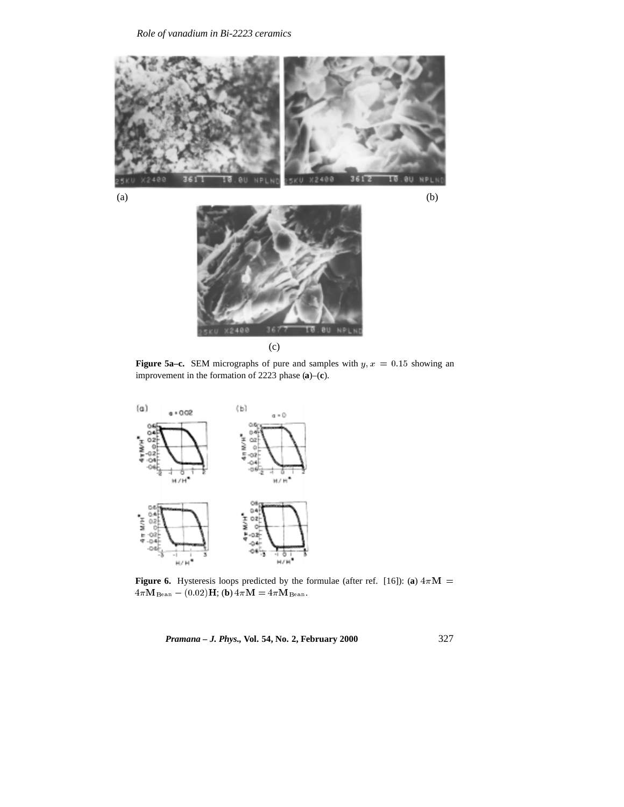



**Figure 5a–c.** SEM micrographs of pure and samples with  $y, x = 0.15$  showing an improvement in the formation of 2223 phase (**a**)–(**c**).



**Figure 6.** Hysteresis loops predicted by the formulae (after ref. [16]): (a)  $4\pi M$  =  $4\pi \mathbf{M}_{\text{Bean}} - (0.02) \mathbf{H}; \textbf{(b)}\ 4\pi \mathbf{M} = 4\pi \mathbf{M}_{\text{Bean}}.$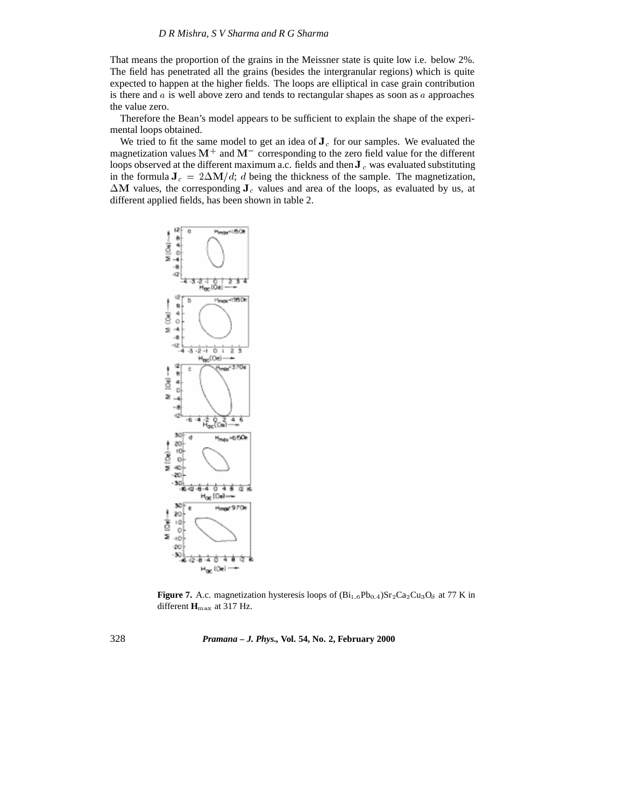That means the proportion of the grains in the Meissner state is quite low i.e. below 2%. The field has penetrated all the grains (besides the intergranular regions) which is quite expected to happen at the higher fields. The loops are elliptical in case grain contribution is there and  $a$  is well above zero and tends to rectangular shapes as soon as  $a$  approaches the value zero.

Therefore the Bean's model appears to be sufficient to explain the shape of the experimental loops obtained.

We tried to fit the same model to get an idea of  $J<sub>c</sub>$  for our samples. We evaluated the magnetization values  $M^+$  and  $M^-$  corresponding to the zero field value for the different loops observed at the different maximum a.c. fields and then  $J_c$  was evaluated substituting in the formula  $J_c = 2\Delta M/d$ ; d being the thickness of the sample. The magnetization,  $\Delta M$  values, the corresponding  $J_c$  values and area of the loops, as evaluated by us, at different applied fields, has been shown in table 2.



**Figure 7.** A.c. magnetization hysteresis loops of  $(Bi<sub>1.6</sub>Pb<sub>0.4</sub>)Sr<sub>2</sub>Ca<sub>2</sub>Cu<sub>3</sub>O<sub>δ</sub>$  at 77 K in different **H**max at 317 Hz.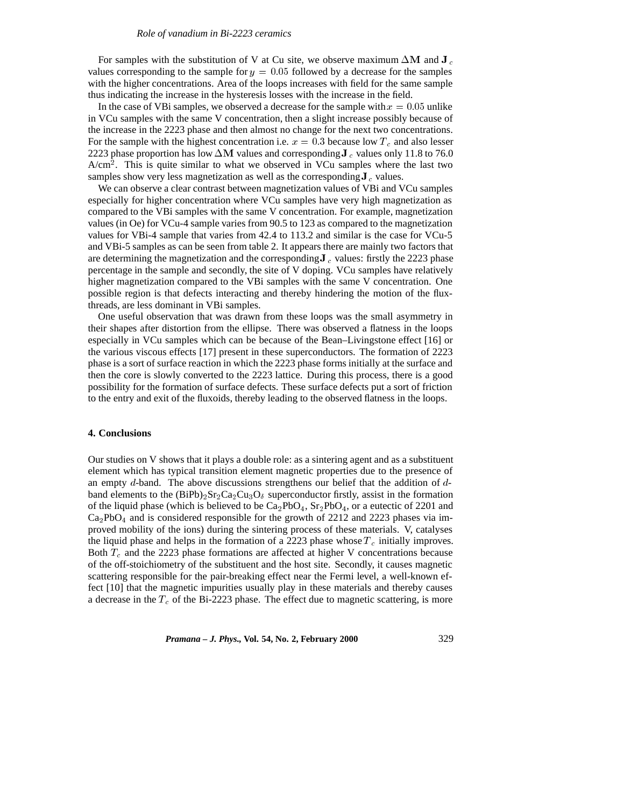For samples with the substitution of V at Cu site, we observe maximum  $\Delta M$  and J<sub>c</sub> values corresponding to the sample for  $y = 0.05$  followed by a decrease for the samples with the higher concentrations. Area of the loops increases with field for the same sample thus indicating the increase in the hysteresis losses with the increase in the field.

In the case of VBi samples, we observed a decrease for the sample with  $x = 0.05$  unlike in VCu samples with the same V concentration, then a slight increase possibly because of the increase in the 2223 phase and then almost no change for the next two concentrations. For the sample with the highest concentration i.e.  $x = 0.3$  because low  $T_c$  and also lesser 2223 phase proportion has low  $\Delta M$  values and corresponding J<sub>c</sub> values only 11.8 to 76.0  $A/cm<sup>2</sup>$ . This is quite similar to what we observed in VCu samples where the last two samples show very less magnetization as well as the corresponding  $J_c$  values.

We can observe a clear contrast between magnetization values of VBi and VCu samples especially for higher concentration where VCu samples have very high magnetization as compared to the VBi samples with the same V concentration. For example, magnetization values (in Oe) for VCu-4 sample varies from 90.5 to 123 as compared to the magnetization values for VBi-4 sample that varies from 42.4 to 113.2 and similar is the case for VCu-5 and VBi-5 samples as can be seen from table 2. It appears there are mainly two factors that are determining the magnetization and the corresponding  $J_c$  values: firstly the 2223 phase percentage in the sample and secondly, the site of V doping. VCu samples have relatively higher magnetization compared to the VBi samples with the same V concentration. One possible region is that defects interacting and thereby hindering the motion of the fluxthreads, are less dominant in VBi samples.

One useful observation that was drawn from these loops was the small asymmetry in their shapes after distortion from the ellipse. There was observed a flatness in the loops especially in VCu samples which can be because of the Bean–Livingstone effect [16] or the various viscous effects [17] present in these superconductors. The formation of 2223 phase is a sort of surface reaction in which the 2223 phase forms initially at the surface and then the core is slowly converted to the 2223 lattice. During this process, there is a good possibility for the formation of surface defects. These surface defects put a sort of friction to the entry and exit of the fluxoids, thereby leading to the observed flatness in the loops.

### **4. Conclusions**

Our studies on V shows that it plays a double role: as a sintering agent and as a substituent element which has typical transition element magnetic properties due to the presence of an empty  $d$ -band. The above discussions strengthens our belief that the addition of  $d$ band elements to the  $(BiPb)_{2}Sr_{2}Ca_{2}Cu_{3}O_{\delta}$  superconductor firstly, assist in the formation of the liquid phase (which is believed to be  $Ca<sub>2</sub>PbO<sub>4</sub>$ ,  $Sr<sub>2</sub>PbO<sub>4</sub>$ , or a eutectic of 2201 and  $Ca<sub>2</sub>PbO<sub>4</sub>$  and is considered responsible for the growth of 2212 and 2223 phases via improved mobility of the ions) during the sintering process of these materials. V, catalyses the liquid phase and helps in the formation of a 2223 phase whose  $T_c$  initially improves. Both  $T_c$  and the 2223 phase formations are affected at higher V concentrations because of the off-stoichiometry of the substituent and the host site. Secondly, it causes magnetic scattering responsible for the pair-breaking effect near the Fermi level, a well-known effect [10] that the magnetic impurities usually play in these materials and thereby causes a decrease in the  $T_c$  of the Bi-2223 phase. The effect due to magnetic scattering, is more